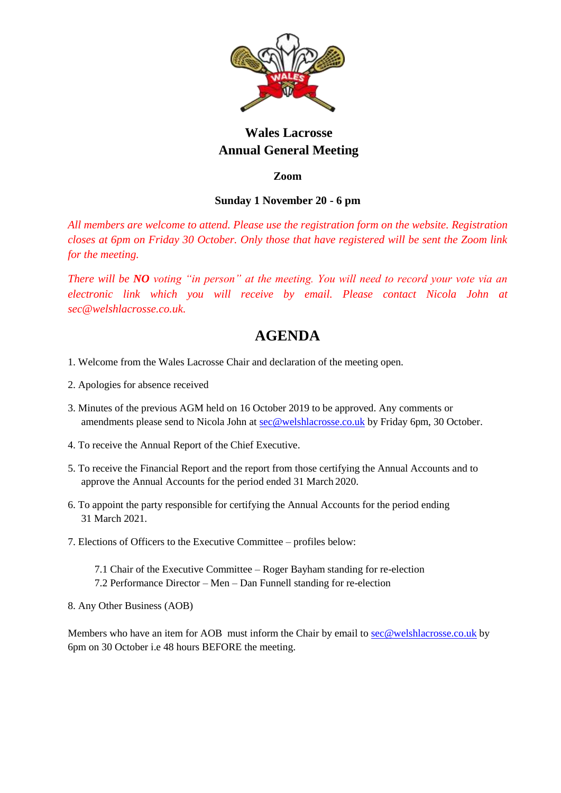

# **Wales Lacrosse Annual General Meeting**

**Zoom**

# **Sunday 1 November 20 - 6 pm**

*All members are welcome to attend. Please use the registration form on the website. Registration closes at 6pm on Friday 30 October. Only those that have registered will be sent the Zoom link for the meeting.*

*There will be NO voting "in person" at the meeting. You will need to record your vote via an electronic link which you will receive by email. Please contact Nicola John at sec@welshlacrosse.co.uk.*

# **AGENDA**

- 1. Welcome from the Wales Lacrosse Chair and declaration of the meeting open.
- 2. Apologies for absence received
- 3. Minutes of the previous AGM held on 16 October 2019 to be approved. Any comments or amendments please send to Nicola John at [sec@welshlacrosse.co.uk](mailto:sec@welshlacrosse.co.uk) by Friday 6pm, 30 October.
- 4. To receive the Annual Report of the Chief Executive.
- 5. To receive the Financial Report and the report from those certifying the Annual Accounts and to approve the Annual Accounts for the period ended 31 March 2020.
- 6. To appoint the party responsible for certifying the Annual Accounts for the period ending 31 March 2021.
- 7. Elections of Officers to the Executive Committee profiles below:
	- 7.1 Chair of the Executive Committee Roger Bayham standing for re-election 7.2 Performance Director – Men – Dan Funnell standing for re-election
- 8. Any Other Business (AOB)

Members who have an item for AOB must inform the Chair by email t[o sec@welshlacrosse.co.uk](mailto:sec@welshlacrosse.co.uk) by 6pm on 30 October i.e 48 hours BEFORE the meeting.